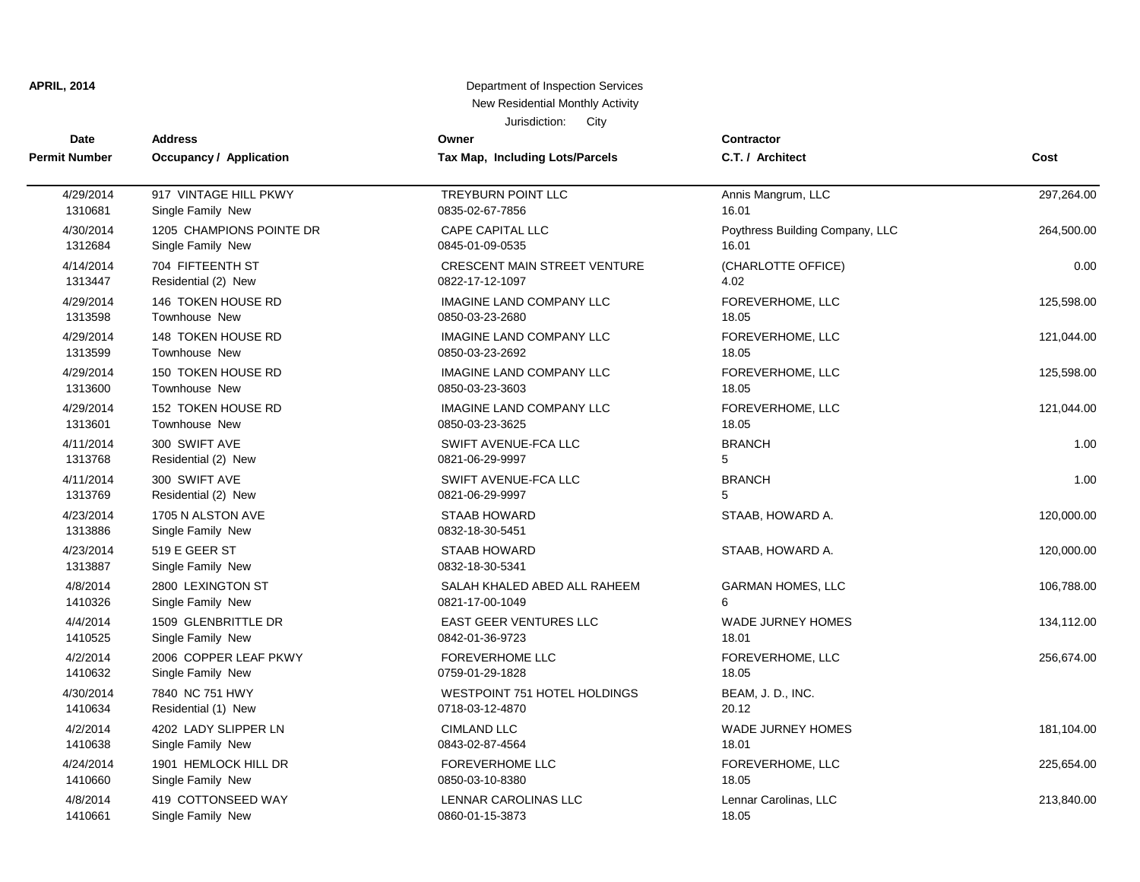| Date                 | <b>Address</b>                         | Owner                                  | <b>Contractor</b>               |            |
|----------------------|----------------------------------------|----------------------------------------|---------------------------------|------------|
| <b>Permit Number</b> | <b>Occupancy / Application</b>         | Tax Map, Including Lots/Parcels        | C.T. / Architect                | Cost       |
| 4/29/2014            | 917 VINTAGE HILL PKWY                  | TREYBURN POINT LLC                     | Annis Mangrum, LLC              | 297,264.00 |
| 1310681              | Single Family New                      | 0835-02-67-7856                        | 16.01                           |            |
| 4/30/2014            | 1205 CHAMPIONS POINTE DR               | <b>CAPE CAPITAL LLC</b>                | Poythress Building Company, LLC | 264,500.00 |
| 1312684              | Single Family New                      | 0845-01-09-0535                        | 16.01                           |            |
| 4/14/2014            | 704 FIFTEENTH ST                       | <b>CRESCENT MAIN STREET VENTURE</b>    | (CHARLOTTE OFFICE)              | 0.00       |
| 1313447              | Residential (2) New                    | 0822-17-12-1097                        | 4.02                            |            |
| 4/29/2014            | 146 TOKEN HOUSE RD                     | <b>IMAGINE LAND COMPANY LLC</b>        | FOREVERHOME, LLC                | 125,598.00 |
| 1313598              | <b>Townhouse New</b>                   | 0850-03-23-2680                        | 18.05                           |            |
| 4/29/2014            | 148 TOKEN HOUSE RD                     | <b>IMAGINE LAND COMPANY LLC</b>        | FOREVERHOME, LLC                | 121,044.00 |
| 1313599              | Townhouse New                          | 0850-03-23-2692                        | 18.05                           |            |
| 4/29/2014            | 150 TOKEN HOUSE RD                     | <b>IMAGINE LAND COMPANY LLC</b>        | FOREVERHOME, LLC                | 125,598.00 |
| 1313600              | <b>Townhouse New</b>                   | 0850-03-23-3603                        | 18.05                           |            |
| 4/29/2014            | 152 TOKEN HOUSE RD                     | <b>IMAGINE LAND COMPANY LLC</b>        | FOREVERHOME, LLC                | 121,044.00 |
| 1313601              | Townhouse New                          | 0850-03-23-3625                        | 18.05                           |            |
| 4/11/2014            | 300 SWIFT AVE                          | SWIFT AVENUE-FCA LLC                   | <b>BRANCH</b>                   | 1.00       |
| 1313768              | Residential (2) New                    | 0821-06-29-9997                        | 5                               |            |
| 4/11/2014            | 300 SWIFT AVE                          | SWIFT AVENUE-FCA LLC                   | <b>BRANCH</b>                   | 1.00       |
| 1313769              | Residential (2) New                    | 0821-06-29-9997                        | 5                               |            |
| 4/23/2014<br>1313886 | 1705 N ALSTON AVE<br>Single Family New | <b>STAAB HOWARD</b><br>0832-18-30-5451 | STAAB, HOWARD A.                | 120,000.00 |
| 4/23/2014<br>1313887 | 519 E GEER ST<br>Single Family New     | <b>STAAB HOWARD</b><br>0832-18-30-5341 | STAAB, HOWARD A.                | 120,000.00 |
| 4/8/2014             | 2800 LEXINGTON ST                      | SALAH KHALED ABED ALL RAHEEM           | <b>GARMAN HOMES, LLC</b>        | 106,788.00 |
| 1410326              | Single Family New                      | 0821-17-00-1049                        | 6                               |            |
| 4/4/2014             | 1509 GLENBRITTLE DR                    | <b>EAST GEER VENTURES LLC</b>          | <b>WADE JURNEY HOMES</b>        | 134,112.00 |
| 1410525              | Single Family New                      | 0842-01-36-9723                        | 18.01                           |            |
| 4/2/2014             | 2006 COPPER LEAF PKWY                  | <b>FOREVERHOME LLC</b>                 | FOREVERHOME, LLC                | 256,674.00 |
| 1410632              | Single Family New                      | 0759-01-29-1828                        | 18.05                           |            |
| 4/30/2014            | 7840 NC 751 HWY                        | WESTPOINT 751 HOTEL HOLDINGS           | BEAM, J. D., INC.               |            |
| 1410634              | Residential (1) New                    | 0718-03-12-4870                        | 20.12                           |            |
| 4/2/2014             | 4202 LADY SLIPPER LN                   | <b>CIMLAND LLC</b>                     | <b>WADE JURNEY HOMES</b>        | 181,104.00 |
| 1410638              | Single Family New                      | 0843-02-87-4564                        | 18.01                           |            |
| 4/24/2014            | 1901 HEMLOCK HILL DR                   | <b>FOREVERHOME LLC</b>                 | FOREVERHOME, LLC                | 225,654.00 |
| 1410660              | Single Family New                      | 0850-03-10-8380                        | 18.05                           |            |
| 4/8/2014             | 419 COTTONSEED WAY                     | <b>LENNAR CAROLINAS LLC</b>            | Lennar Carolinas, LLC           | 213,840.00 |
| 1410661              | Single Family New                      | 0860-01-15-3873                        | 18.05                           |            |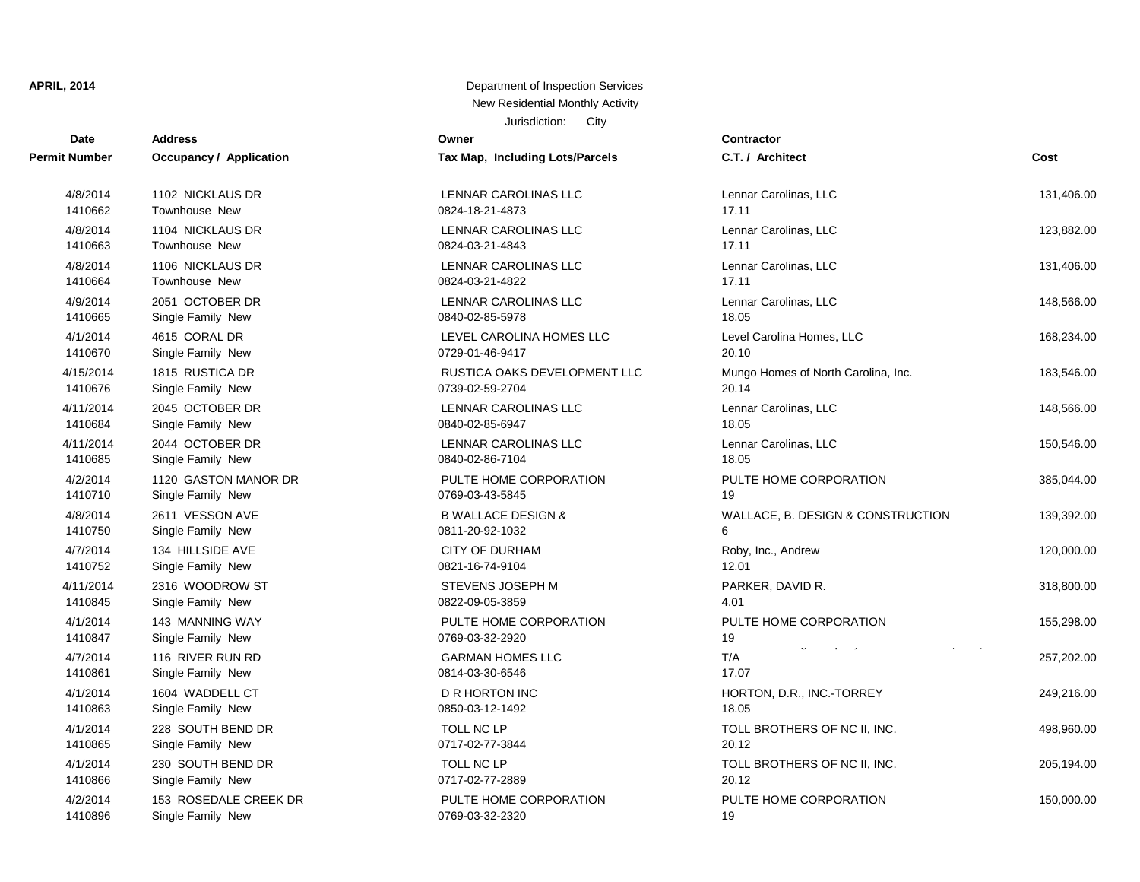| <b>Date</b>          | <b>Address</b>                 | Owner                           | <b>Contractor</b>  |
|----------------------|--------------------------------|---------------------------------|--------------------|
| <b>Permit Number</b> | <b>Occupancy / Application</b> | Tax Map, Including Lots/Parcels | C.T. / Arch        |
| 4/8/2014             | 1102 NICKLAUS DR               | <b>LENNAR CAROLINAS LLC</b>     | Lennar Car         |
| 1410662              | Townhouse New                  | 0824-18-21-4873                 | 17.11              |
| 4/8/2014             | 1104 NICKLAUS DR               | LENNAR CAROLINAS LLC            | Lennar Car         |
| 1410663              | Townhouse New                  | 0824-03-21-4843                 | 17.11              |
| 4/8/2014             | 1106 NICKLAUS DR               | LENNAR CAROLINAS LLC            | Lennar Car         |
| 1410664              | Townhouse New                  | 0824-03-21-4822                 | 17.11              |
| 4/9/2014             | 2051 OCTOBER DR                | LENNAR CAROLINAS LLC            | Lennar Car         |
| 1410665              | Single Family New              | 0840-02-85-5978                 | 18.05              |
| 4/1/2014             | 4615 CORAL DR                  | LEVEL CAROLINA HOMES LLC        | <b>Level Carol</b> |
| 1410670              | Single Family New              | 0729-01-46-9417                 | 20.10              |
| 4/15/2014            | 1815 RUSTICA DR                | RUSTICA OAKS DEVELOPMENT LLC    | Mungo Hon          |
| 1410676              | Single Family New              | 0739-02-59-2704                 | 20.14              |
| 4/11/2014            | 2045 OCTOBER DR                | LENNAR CAROLINAS LLC            | Lennar Car         |
| 1410684              | Single Family New              | 0840-02-85-6947                 | 18.05              |
| 4/11/2014            | 2044 OCTOBER DR                | LENNAR CAROLINAS LLC            | Lennar Car         |
| 1410685              | Single Family New              | 0840-02-86-7104                 | 18.05              |
| 4/2/2014             | 1120 GASTON MANOR DR           | PULTE HOME CORPORATION          | PULTE HO           |
| 1410710              | Single Family New              | 0769-03-43-5845                 | 19                 |
| 4/8/2014             | 2611 VESSON AVE                | <b>B WALLACE DESIGN &amp;</b>   | WALLACE,           |
| 1410750              | Single Family New              | 0811-20-92-1032                 | 6                  |
| 4/7/2014             | 134 HILLSIDE AVE               | <b>CITY OF DURHAM</b>           | Roby, Inc.,        |
| 1410752              | Single Family New              | 0821-16-74-9104                 | 12.01              |
| 4/11/2014            | 2316 WOODROW ST                | STEVENS JOSEPH M                | PARKER, D          |
| 1410845              | Single Family New              | 0822-09-05-3859                 | 4.01               |
| 4/1/2014             | <b>143 MANNING WAY</b>         | PULTE HOME CORPORATION          | PULTE HO           |
| 1410847              | Single Family New              | 0769-03-32-2920                 | 19                 |
| 4/7/2014             | 116 RIVER RUN RD               | <b>GARMAN HOMES LLC</b>         | T/A                |
| 1410861              | Single Family New              | 0814-03-30-6546                 | 17.07              |
| 4/1/2014             | 1604 WADDELL CT                | <b>D R HORTON INC</b>           | HORTON,            |
| 1410863              | Single Family New              | 0850-03-12-1492                 | 18.05              |
| 4/1/2014             | 228 SOUTH BEND DR              | <b>TOLL NC LP</b>               | <b>TOLL BRO</b>    |
| 1410865              | Single Family New              | 0717-02-77-3844                 | 20.12              |
| 4/1/2014             | 230 SOUTH BEND DR              | TOLL NC LP                      | <b>TOLL BRO</b>    |
| 1410866              | Single Family New              | 0717-02-77-2889                 | 20.12              |
| 4/2/2014             | 153 ROSEDALE CREEK DR          | PULTE HOME CORPORATION          | PULTE HO           |
| 1410896              | Single Family New              | 0769-03-32-2320                 | 19                 |

| Tax Map, Including Lots/Parcels                  |
|--------------------------------------------------|
| <b>LENNAR CAROLINAS LLC</b><br>0824-18-21-4873   |
| LENNAR CAROLINAS LLC<br>0824-03-21-4843          |
| LENNAR CAROLINAS LLC<br>0824-03-21-4822          |
| LENNAR CAROLINAS LLC<br>0840-02-85-5978          |
| LEVEL CAROLINA HOMES LLC<br>0729-01-46-9417      |
| RUSTICA OAKS DEVELOPMENT LL<br>0739-02-59-2704   |
| LENNAR CAROLINAS LLC<br>0840-02-85-6947          |
| LENNAR CAROLINAS LLC<br>0840-02-86-7104          |
| PULTE HOME CORPORATION<br>0769-03-43-5845        |
| <b>B WALLACE DESIGN &amp;</b><br>0811-20-92-1032 |
| <b>CITY OF DURHAM</b><br>0821-16-74-9104         |
| STEVENS JOSEPH M<br>0822-09-05-3859              |
| PULTE HOME CORPORATION<br>0769-03-32-2920        |
| <b>GARMAN HOMES LLC</b><br>0814-03-30-6546       |
| D R HORTON INC<br>0850-03-12-1492                |
| <b>TOLL NC LP</b><br>0717-02-77-3844             |
| <b>TOLL NC LP</b><br>0717-02-77-2889             |
| PULTE HOME CORPORATION                           |

| t Number            | Occupancy / Application                    | Tax Map, Including Lots/Parcels                  | C.T. / Architect                    | Cost       |
|---------------------|--------------------------------------------|--------------------------------------------------|-------------------------------------|------------|
| 4/8/2014            | 1102 NICKLAUS DR                           | LENNAR CAROLINAS LLC                             | Lennar Carolinas, LLC               | 131,406.00 |
| 1410662             | Townhouse New                              | 0824-18-21-4873                                  | 17.11                               |            |
| 4/8/2014            | 1104 NICKLAUS DR                           | LENNAR CAROLINAS LLC                             | Lennar Carolinas, LLC               | 123,882.00 |
| 1410663             | <b>Townhouse New</b>                       | 0824-03-21-4843                                  | 17.11                               |            |
| 4/8/2014            | 1106 NICKLAUS DR                           | LENNAR CAROLINAS LLC                             | Lennar Carolinas, LLC               | 131,406.00 |
| 1410664             | Townhouse New                              | 0824-03-21-4822                                  | 17.11                               |            |
| 4/9/2014            | 2051 OCTOBER DR                            | LENNAR CAROLINAS LLC                             | Lennar Carolinas, LLC               | 148,566.00 |
| 1410665             | Single Family New                          | 0840-02-85-5978                                  | 18.05                               |            |
| 4/1/2014            | 4615 CORAL DR                              | LEVEL CAROLINA HOMES LLC                         | Level Carolina Homes, LLC           | 168,234.00 |
| 1410670             | Single Family New                          | 0729-01-46-9417                                  | 20.10                               |            |
| 4/15/2014           | 1815 RUSTICA DR                            | RUSTICA OAKS DEVELOPMENT LLC                     | Mungo Homes of North Carolina, Inc. | 183,546.00 |
| 1410676             | Single Family New                          | 0739-02-59-2704                                  | 20.14                               |            |
| 4/11/2014           | 2045 OCTOBER DR                            | LENNAR CAROLINAS LLC                             | Lennar Carolinas, LLC               | 148,566.00 |
| 1410684             | Single Family New                          | 0840-02-85-6947                                  | 18.05                               |            |
| 4/11/2014           | 2044 OCTOBER DR                            | LENNAR CAROLINAS LLC                             | Lennar Carolinas, LLC               | 150,546.00 |
| 1410685             | Single Family New                          | 0840-02-86-7104                                  | 18.05                               |            |
| 4/2/2014            | 1120 GASTON MANOR DR                       | PULTE HOME CORPORATION                           | PULTE HOME CORPORATION              | 385,044.00 |
| 1410710             | Single Family New                          | 0769-03-43-5845                                  | 19                                  |            |
| 4/8/2014<br>1410750 | 2611 VESSON AVE<br>Single Family New       | <b>B WALLACE DESIGN &amp;</b><br>0811-20-92-1032 | WALLACE, B. DESIGN & CONSTRUCTION   | 139,392.00 |
| 4/7/2014            | 134 HILLSIDE AVE                           | CITY OF DURHAM                                   | Roby, Inc., Andrew                  | 120,000.00 |
| 1410752             | Single Family New                          | 0821-16-74-9104                                  | 12.01                               |            |
| 4/11/2014           | 2316 WOODROW ST                            | <b>STEVENS JOSEPH M</b>                          | PARKER, DAVID R.                    | 318,800.00 |
| 1410845             | Single Family New                          | 0822-09-05-3859                                  | 4.01                                |            |
| 4/1/2014            | 143 MANNING WAY                            | PULTE HOME CORPORATION                           | PULTE HOME CORPORATION              | 155,298.00 |
| 1410847             | Single Family New                          | 0769-03-32-2920                                  | 19                                  |            |
| 4/7/2014            | 116 RIVER RUN RD                           | <b>GARMAN HOMES LLC</b>                          | T/A                                 | 257,202.00 |
| 1410861             | Single Family New                          | 0814-03-30-6546                                  | 17.07                               |            |
| 4/1/2014            | 1604 WADDELL CT                            | D R HORTON INC                                   | HORTON, D.R., INC.-TORREY           | 249,216.00 |
| 1410863             | Single Family New                          | 0850-03-12-1492                                  | 18.05                               |            |
| 4/1/2014            | 228 SOUTH BEND DR                          | TOLL NC LP                                       | TOLL BROTHERS OF NC II, INC.        | 498,960.00 |
| 1410865             | Single Family New                          | 0717-02-77-3844                                  | 20.12                               |            |
| 4/1/2014            | 230 SOUTH BEND DR                          | TOLL NC LP                                       | TOLL BROTHERS OF NC II, INC.        | 205,194.00 |
| 1410866             | Single Family New                          | 0717-02-77-2889                                  | 20.12                               |            |
| 4/2/2014<br>111000c | 153 ROSEDALE CREEK DR<br>Cinalo Fomily Now | PULTE HOME CORPORATION<br>חפפפ פפ פח חפדה        | PULTE HOME CORPORATION              | 150,000.00 |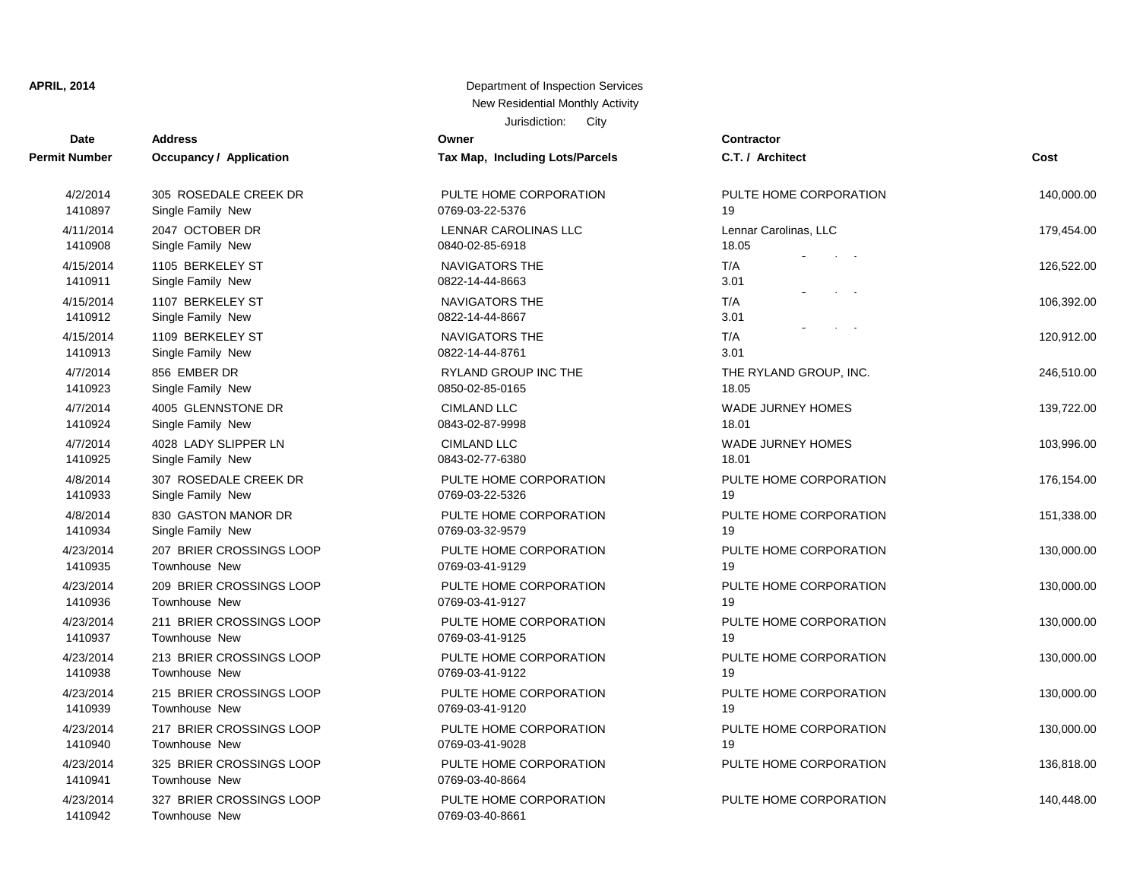| <b>Date</b>          | <b>Address</b>                 | Owner                           | <b>Contractor</b> |
|----------------------|--------------------------------|---------------------------------|-------------------|
| <b>Permit Number</b> | <b>Occupancy / Application</b> | Tax Map, Including Lots/Parcels | C.T. / Arch       |
| 4/2/2014             | 305 ROSEDALE CREEK DR          | PULTE HOME CORPORATION          | PULTE HO          |
| 1410897              | Single Family New              | 0769-03-22-5376                 | 19                |
| 4/11/2014            | 2047 OCTOBER DR                | LENNAR CAROLINAS LLC            | Lennar Car        |
| 1410908              | Single Family New              | 0840-02-85-6918                 | 18.05             |
| 4/15/2014            | 1105 BERKELEY ST               | NAVIGATORS THE                  | T/A               |
| 1410911              | Single Family New              | 0822-14-44-8663                 | 3.01              |
| 4/15/2014            | 1107 BERKELEY ST               | <b>NAVIGATORS THE</b>           | T/A               |
| 1410912              | Single Family New              | 0822-14-44-8667                 | 3.01              |
| 4/15/2014            | 1109 BERKELEY ST               | <b>NAVIGATORS THE</b>           | T/A               |
| 1410913              | Single Family New              | 0822-14-44-8761                 | 3.01              |
| 4/7/2014             | 856 EMBER DR                   | <b>RYLAND GROUP INC THE</b>     | THE RYLA          |
| 1410923              | Single Family New              | 0850-02-85-0165                 | 18.05             |
| 4/7/2014             | 4005 GLENNSTONE DR             | <b>CIMLAND LLC</b>              | <b>WADE JUF</b>   |
| 1410924              | Single Family New              | 0843-02-87-9998                 | 18.01             |
| 4/7/2014             | 4028 LADY SLIPPER LN           | <b>CIMLAND LLC</b>              | <b>WADE JUF</b>   |
| 1410925              | Single Family New              | 0843-02-77-6380                 | 18.01             |
| 4/8/2014             | 307 ROSEDALE CREEK DR          | PULTE HOME CORPORATION          | PULTE HO          |
| 1410933              | Single Family New              | 0769-03-22-5326                 | 19                |
| 4/8/2014             | 830 GASTON MANOR DR            | PULTE HOME CORPORATION          | PULTE HO          |
| 1410934              | Single Family New              | 0769-03-32-9579                 | 19                |
| 4/23/2014            | 207 BRIER CROSSINGS LOOP       | PULTE HOME CORPORATION          | PULTE HO          |
| 1410935              | Townhouse New                  | 0769-03-41-9129                 | 19                |
| 4/23/2014            | 209 BRIER CROSSINGS LOOP       | PULTE HOME CORPORATION          | PULTE HO          |
| 1410936              | Townhouse New                  | 0769-03-41-9127                 | 19                |
| 4/23/2014            | 211 BRIER CROSSINGS LOOP       | PULTE HOME CORPORATION          | PULTE HO          |
| 1410937              | Townhouse New                  | 0769-03-41-9125                 | 19                |
| 4/23/2014            | 213 BRIER CROSSINGS LOOP       | PULTE HOME CORPORATION          | PULTE HO          |
| 1410938              | Townhouse New                  | 0769-03-41-9122                 | 19                |
| 4/23/2014            | 215 BRIER CROSSINGS LOOP       | PULTE HOME CORPORATION          | PULTE HO          |
| 1410939              | Townhouse New                  | 0769-03-41-9120                 | 19                |
| 4/23/2014            | 217 BRIER CROSSINGS LOOP       | PULTE HOME CORPORATION          | PULTE HO          |
| 1410940              | <b>Townhouse New</b>           | 0769-03-41-9028                 | 19                |
| 4/23/2014            | 325 BRIER CROSSINGS LOOP       | PULTE HOME CORPORATION          | PULTE HO          |
| 1410941              | <b>Townhouse New</b>           | 0769-03-40-8664                 |                   |
| 4/23/2014            | 327 BRIER CROSSINGS LOOP       | PULTE HOME CORPORATION          | PULTE HO          |
| 1410942              | Townhouse New                  | 0769-03-40-8661                 |                   |

| PULTE HOME CORPORATION<br>769-03-22-5376      |  |
|-----------------------------------------------|--|
| <b>LENNAR CAROLINAS LLC</b><br>840-02-85-6918 |  |
| <b>VAVIGATORS THE</b><br>822-14-44-8663       |  |
| <b>VAVIGATORS THE</b><br>822-14-44-8667       |  |
| <b>VAVIGATORS THE</b><br>822-14-44-8761       |  |
| RYLAND GROUP INC THE<br>850-02-85-0165        |  |
| CIMLAND LLC<br>843-02-87-9998                 |  |
| CIMLAND LLC<br>843-02-77-6380                 |  |
| PULTE HOME CORPORATION<br>769-03-22-5326      |  |
| PULTE HOME CORPORATION<br>769-03-32-9579      |  |
| PULTE HOME CORPORATION<br>769-03-41-9129      |  |
| PULTE HOME CORPORATION<br>769-03-41-9127      |  |
| PULTE HOME CORPORATION<br>769-03-41-9125      |  |
| PULTE HOME CORPORATION<br>769-03-41-9122      |  |
| PULTE HOME CORPORATION<br>769-03-41-9120      |  |
| PULTE HOME CORPORATION<br>769-03-41-9028      |  |
| PULTE HOME CORPORATION<br>769-03-40-8664      |  |
|                                               |  |

| <b>Date</b>          | <b>Address</b>                            | Owner                                          | Contractor                                                                        |            |
|----------------------|-------------------------------------------|------------------------------------------------|-----------------------------------------------------------------------------------|------------|
| Number               | Occupancy / Application                   | Tax Map, Including Lots/Parcels                | C.T. / Architect                                                                  | Cost       |
| 4/2/2014             | 305 ROSEDALE CREEK DR                     | PULTE HOME CORPORATION                         | PULTE HOME CORPORATION                                                            | 140,000.00 |
| 1410897              | Single Family New                         | 0769-03-22-5376                                | 19                                                                                |            |
| 4/11/2014<br>1410908 | 2047 OCTOBER DR<br>Single Family New      | <b>LENNAR CAROLINAS LLC</b><br>0840-02-85-6918 | Lennar Carolinas, LLC<br>18.05<br>$\tilde{\phantom{a}}$                           | 179,454.00 |
| 4/15/2014<br>1410911 | 1105 BERKELEY ST<br>Single Family New     | NAVIGATORS THE<br>0822-14-44-8663              | $\alpha$ and $\alpha$<br>T/A<br>3.01<br>$\mathbf{r} = -\mathbf{z}$<br>$\check{ }$ | 126,522.00 |
| 4/15/2014<br>1410912 | 1107 BERKELEY ST<br>Single Family New     | <b>NAVIGATORS THE</b><br>0822-14-44-8667       | T/A<br>3.01<br>$\ddot{\phantom{0}}$<br>$\mathbf{r} = \mathbf{r} \cdot \mathbf{r}$ | 106,392.00 |
| 4/15/2014            | 1109 BERKELEY ST                          | <b>NAVIGATORS THE</b>                          | T/A                                                                               | 120,912.00 |
| 1410913              | Single Family New                         | 0822-14-44-8761                                | 3.01                                                                              |            |
| 4/7/2014             | 856 EMBER DR                              | <b>RYLAND GROUP INC THE</b>                    | THE RYLAND GROUP, INC.                                                            | 246,510.00 |
| 1410923              | Single Family New                         | 0850-02-85-0165                                | 18.05                                                                             |            |
| 4/7/2014             | 4005 GLENNSTONE DR                        | <b>CIMLAND LLC</b>                             | <b>WADE JURNEY HOMES</b>                                                          | 139,722.00 |
| 1410924              | Single Family New                         | 0843-02-87-9998                                | 18.01                                                                             |            |
| 4/7/2014             | 4028 LADY SLIPPER LN                      | <b>CIMLAND LLC</b>                             | <b>WADE JURNEY HOMES</b>                                                          | 103,996.00 |
| 1410925              | Single Family New                         | 0843-02-77-6380                                | 18.01                                                                             |            |
| 4/8/2014             | 307 ROSEDALE CREEK DR                     | PULTE HOME CORPORATION                         | PULTE HOME CORPORATION                                                            | 176,154.00 |
| 1410933              | Single Family New                         | 0769-03-22-5326                                | 19                                                                                |            |
| 4/8/2014             | 830 GASTON MANOR DR                       | PULTE HOME CORPORATION                         | PULTE HOME CORPORATION                                                            | 151,338.00 |
| 1410934              | Single Family New                         | 0769-03-32-9579                                | 19                                                                                |            |
| 4/23/2014            | 207 BRIER CROSSINGS LOOP                  | PULTE HOME CORPORATION                         | PULTE HOME CORPORATION                                                            | 130,000.00 |
| 1410935              | Townhouse New                             | 0769-03-41-9129                                | 19                                                                                |            |
| 4/23/2014            | 209 BRIER CROSSINGS LOOP                  | PULTE HOME CORPORATION                         | PULTE HOME CORPORATION                                                            | 130,000.00 |
| 1410936              | <b>Townhouse New</b>                      | 0769-03-41-9127                                | 19                                                                                |            |
| 4/23/2014            | 211 BRIER CROSSINGS LOOP                  | PULTE HOME CORPORATION                         | PULTE HOME CORPORATION                                                            | 130,000.00 |
| 1410937              | Townhouse New                             | 0769-03-41-9125                                | 19                                                                                |            |
| 4/23/2014            | 213 BRIER CROSSINGS LOOP                  | PULTE HOME CORPORATION                         | PULTE HOME CORPORATION                                                            | 130,000.00 |
| 1410938              | Townhouse New                             | 0769-03-41-9122                                | 19                                                                                |            |
| 4/23/2014            | 215 BRIER CROSSINGS LOOP                  | PULTE HOME CORPORATION                         | PULTE HOME CORPORATION                                                            | 130,000.00 |
| 1410939              | Townhouse New                             | 0769-03-41-9120                                | 19                                                                                |            |
| 4/23/2014            | 217 BRIER CROSSINGS LOOP                  | PULTE HOME CORPORATION                         | PULTE HOME CORPORATION                                                            | 130,000.00 |
| 1410940              | Townhouse New                             | 0769-03-41-9028                                | 19                                                                                |            |
| 4/23/2014<br>1410941 | 325 BRIER CROSSINGS LOOP<br>Townhouse New | PULTE HOME CORPORATION<br>0769-03-40-8664      | PULTE HOME CORPORATION                                                            | 136,818.00 |
| 4/23/2014            | 327 BRIER CROSSINGS LOOP                  | PULTE HOME CORPORATION                         | PULTE HOME CORPORATION                                                            | 140.448.00 |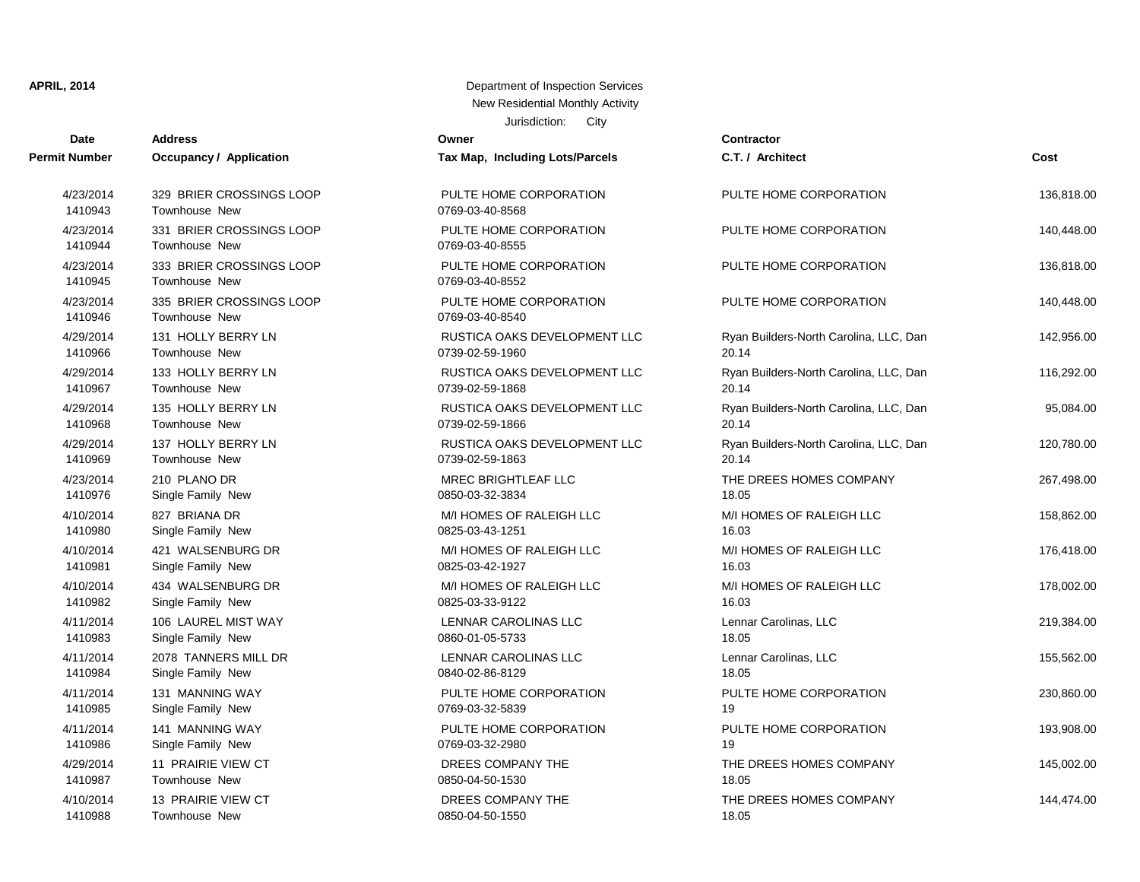| <b>Date</b>          | <b>Address</b>                                   | Owner                                     | <b>Contractor</b>                      |            |
|----------------------|--------------------------------------------------|-------------------------------------------|----------------------------------------|------------|
| <b>Permit Number</b> | <b>Occupancy / Application</b>                   | Tax Map, Including Lots/Parcels           | C.T. / Architect                       | Cost       |
| 4/23/2014<br>1410943 | 329 BRIER CROSSINGS LOOP<br>Townhouse New        | PULTE HOME CORPORATION<br>0769-03-40-8568 | PULTE HOME CORPORATION                 | 136,818.00 |
| 4/23/2014<br>1410944 | 331 BRIER CROSSINGS LOOP<br><b>Townhouse New</b> | PULTE HOME CORPORATION<br>0769-03-40-8555 | PULTE HOME CORPORATION                 | 140,448.00 |
| 4/23/2014<br>1410945 | 333 BRIER CROSSINGS LOOP<br><b>Townhouse New</b> | PULTE HOME CORPORATION<br>0769-03-40-8552 | PULTE HOME CORPORATION                 | 136,818.00 |
| 4/23/2014<br>1410946 | 335 BRIER CROSSINGS LOOP<br><b>Townhouse New</b> | PULTE HOME CORPORATION<br>0769-03-40-8540 | PULTE HOME CORPORATION                 | 140,448.00 |
| 4/29/2014            | 131 HOLLY BERRY LN                               | RUSTICA OAKS DEVELOPMENT LLC              | Ryan Builders-North Carolina, LLC, Dan | 142,956.00 |
| 1410966              | Townhouse New                                    | 0739-02-59-1960                           | 20.14                                  |            |
| 4/29/2014            | 133 HOLLY BERRY LN                               | RUSTICA OAKS DEVELOPMENT LLC              | Ryan Builders-North Carolina, LLC, Dan | 116,292.00 |
| 1410967              | Townhouse New                                    | 0739-02-59-1868                           | 20.14                                  |            |
| 4/29/2014            | 135 HOLLY BERRY LN                               | RUSTICA OAKS DEVELOPMENT LLC              | Ryan Builders-North Carolina, LLC, Dan | 95,084.00  |
| 1410968              | Townhouse New                                    | 0739-02-59-1866                           | 20.14                                  |            |
| 4/29/2014            | 137 HOLLY BERRY LN                               | RUSTICA OAKS DEVELOPMENT LLC              | Ryan Builders-North Carolina, LLC, Dan | 120,780.00 |
| 1410969              | Townhouse New                                    | 0739-02-59-1863                           | 20.14                                  |            |
| 4/23/2014            | 210 PLANO DR                                     | <b>MREC BRIGHTLEAF LLC</b>                | THE DREES HOMES COMPANY                | 267,498.00 |
| 1410976              | Single Family New                                | 0850-03-32-3834                           | 18.05                                  |            |
| 4/10/2014            | 827 BRIANA DR                                    | M/I HOMES OF RALEIGH LLC                  | M/I HOMES OF RALEIGH LLC               | 158,862.00 |
| 1410980              | Single Family New                                | 0825-03-43-1251                           | 16.03                                  |            |
| 4/10/2014            | 421 WALSENBURG DR                                | M/I HOMES OF RALEIGH LLC                  | M/I HOMES OF RALEIGH LLC               | 176,418.00 |
| 1410981              | Single Family New                                | 0825-03-42-1927                           | 16.03                                  |            |
| 4/10/2014            | 434 WALSENBURG DR                                | M/I HOMES OF RALEIGH LLC                  | M/I HOMES OF RALEIGH LLC               | 178,002.00 |
| 1410982              | Single Family New                                | 0825-03-33-9122                           | 16.03                                  |            |
| 4/11/2014            | 106 LAUREL MIST WAY                              | LENNAR CAROLINAS LLC                      | Lennar Carolinas, LLC                  | 219,384.00 |
| 1410983              | Single Family New                                | 0860-01-05-5733                           | 18.05                                  |            |
| 4/11/2014            | 2078 TANNERS MILL DR                             | LENNAR CAROLINAS LLC                      | Lennar Carolinas, LLC                  | 155,562.00 |
| 1410984              | Single Family New                                | 0840-02-86-8129                           | 18.05                                  |            |
| 4/11/2014            | 131 MANNING WAY                                  | PULTE HOME CORPORATION                    | PULTE HOME CORPORATION                 | 230,860.00 |
| 1410985              | Single Family New                                | 0769-03-32-5839                           | 19                                     |            |
| 4/11/2014            | 141 MANNING WAY                                  | PULTE HOME CORPORATION                    | PULTE HOME CORPORATION                 | 193,908.00 |
| 1410986              | Single Family New                                | 0769-03-32-2980                           | 19                                     |            |
| 4/29/2014            | 11 PRAIRIE VIEW CT                               | DREES COMPANY THE                         | THE DREES HOMES COMPANY                | 145,002.00 |
| 1410987              | <b>Townhouse New</b>                             | 0850-04-50-1530                           | 18.05                                  |            |
| 4/10/2014            | 13 PRAIRIE VIEW CT                               | DREES COMPANY THE                         | THE DREES HOMES COMPANY                | 144,474.00 |
| 1410988              | Townhouse New                                    | 0850-04-50-1550                           | 18.05                                  |            |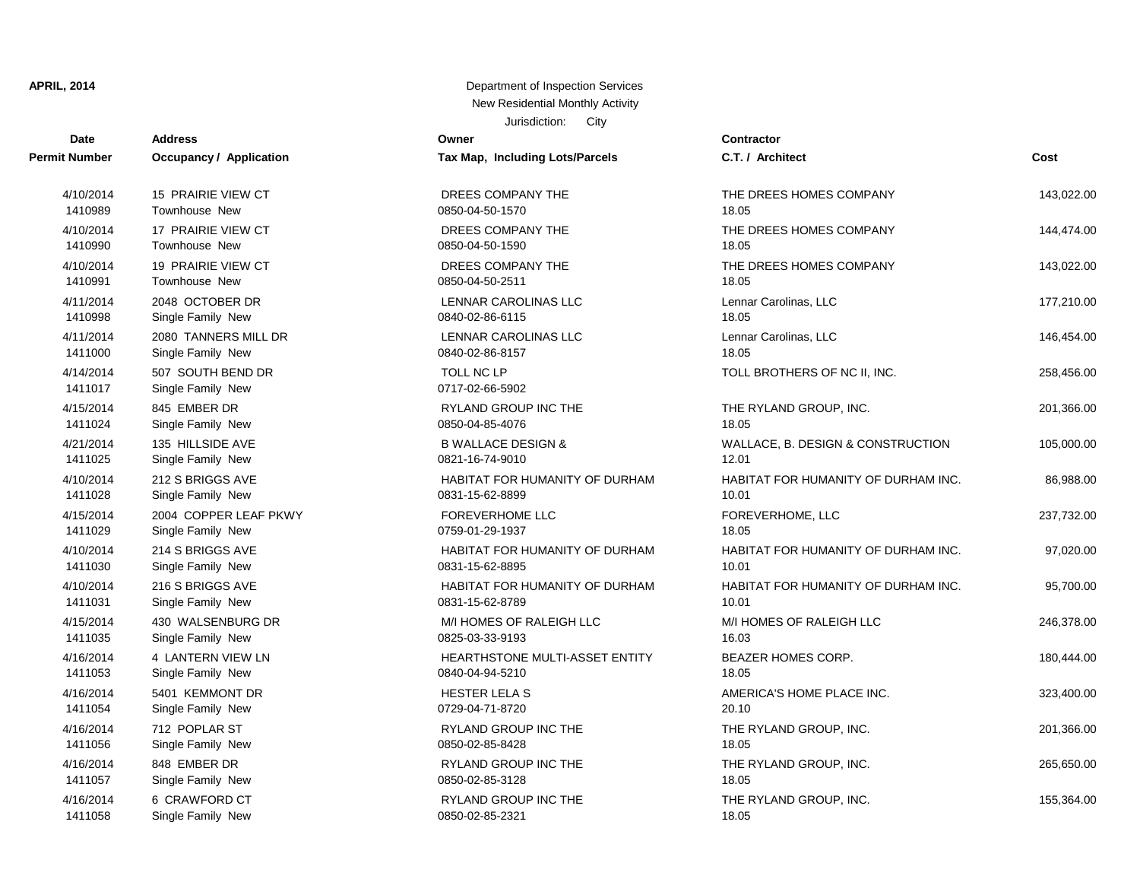# **Date Contractor Address Owner Permit Number Occupancy / Application Tax Map, Including Lots/Parcels** 1411058 Single Family New 2012 12:05:06 0850-02-85-2321 1411057 Single Family New 0850-02-85-3128 4/16/2014 6 CRAWFORD CT RYLAND GROUP INC THE 1411056 Single Family New 2008 1208 0850-02-85-8428 4/16/2014 848 EMBER DR RYLAND GROUP INC THE 1411054 Single Family New 2012 2020-04-71-8720 4/16/2014 712 POPLAR ST RYLAND GROUP INC THE 1411053 Single Family New 0840-04-94-5210 1411035 Single Family New 2012 12:03:0825-03-33-9193 4/16/2014 4 LANTERN VIEW LN **HEARTHSTONE MULTI-ASSET ENTITY** 1411031 Single Family New 10831-15-62-8789 4/15/2014 430 WALSENBURG DR M/I HOMES OF RALEIGH LLC 1411030 Single Family New 1411030 Single Family New 10.011 10.012 10.012 10.012 10.012 10.012 10.01 4/10/2014 216 S BRIGGS AVE **HABITAT FOR HUMANITY OF DURHAM** 1411029 Single Family New 2012 18.05.100759-01-29-1937 4/10/2014 214 S BRIGGS AVE **HABITAT FOR HUMANITY OF DURHAM** 1411028 Single Family New 0831-15-62-8899 4/15/2014 2004 COPPER LEAF PKWY FOREVERHOME LLC 1411025 Single Family New 1411025 Single Family New 12.0010 4/10/2014 212 S BRIGGS AVE **HABITAT FOR HUMANITY OF DURHAM** 1411024 Single Family New 2008 1208 0850-04-85-4076 1411017 Single Family New 0717-02-66-5902 4/15/2014 845 EMBER DR RYLAND GROUP INC THE 1411000 Single Family New 0840-02-86-8157 1410998 Single Family New 2014 19:05 0840-02-86-6115 4/11/2014 2080 TANNERS MILL DR LENNAR CAROLINAS LLC 1410991 Townhouse New 2008/04-50-2511 4/11/2014 2048 OCTOBER DR LENNAR CAROLINAS LLC 1410990 Townhouse New 200850-04-50-1590 4/10/2014 19 PRAIRIE VIEW CT DREES COMPANY THE 1410989 Townhouse New 0850-04-50-1570 18.05 4/10/2014 17 PRAIRIE VIEW CT DREES COMPANY THE 4/10/2014 15 PRAIRIE VIEW CT DREES COMPANY THE

| Date                 | Address                                | ∪wner                           | Contractor                          |            |
|----------------------|----------------------------------------|---------------------------------|-------------------------------------|------------|
| t Number             | <b>Occupancy / Application</b>         | Tax Map, Including Lots/Parcels | C.T. / Architect                    | Cost       |
| 4/10/2014            | 15 PRAIRIE VIEW CT                     | DREES COMPANY THE               | THE DREES HOMES COMPANY             | 143,022.00 |
| 1410989              | Townhouse New                          | 0850-04-50-1570                 | 18.05                               |            |
| 4/10/2014            | 17 PRAIRIE VIEW CT                     | DREES COMPANY THE               | THE DREES HOMES COMPANY             | 144,474.00 |
| 1410990              | Townhouse New                          | 0850-04-50-1590                 | 18.05                               |            |
| 4/10/2014            | 19 PRAIRIE VIEW CT                     | DREES COMPANY THE               | THE DREES HOMES COMPANY             | 143,022.00 |
| 1410991              | Townhouse New                          | 0850-04-50-2511                 | 18.05                               |            |
| 4/11/2014            | 2048 OCTOBER DR                        | LENNAR CAROLINAS LLC            | Lennar Carolinas, LLC               | 177,210.00 |
| 1410998              | Single Family New                      | 0840-02-86-6115                 | 18.05                               |            |
| 4/11/2014            | 2080 TANNERS MILL DR                   | LENNAR CAROLINAS LLC            | Lennar Carolinas, LLC               | 146,454.00 |
| 1411000              | Single Family New                      | 0840-02-86-8157                 | 18.05                               |            |
| 4/14/2014<br>1411017 | 507 SOUTH BEND DR<br>Single Family New | TOLL NC LP<br>0717-02-66-5902   | TOLL BROTHERS OF NC II, INC.        | 258,456.00 |
| 4/15/2014            | 845 EMBER DR                           | RYLAND GROUP INC THE            | THE RYLAND GROUP, INC.              | 201,366.00 |
| 1411024              | Single Family New                      | 0850-04-85-4076                 | 18.05                               |            |
| 4/21/2014            | 135 HILLSIDE AVE                       | <b>B WALLACE DESIGN &amp;</b>   | WALLACE, B. DESIGN & CONSTRUCTION   | 105,000.00 |
| 1411025              | Single Family New                      | 0821-16-74-9010                 | 12.01                               |            |
| 4/10/2014            | 212 S BRIGGS AVE                       | HABITAT FOR HUMANITY OF DURHAM  | HABITAT FOR HUMANITY OF DURHAM INC. | 86,988.00  |
| 1411028              | Single Family New                      | 0831-15-62-8899                 | 10.01                               |            |
| 4/15/2014            | 2004 COPPER LEAF PKWY                  | <b>FOREVERHOME LLC</b>          | FOREVERHOME, LLC                    | 237,732.00 |
| 1411029              | Single Family New                      | 0759-01-29-1937                 | 18.05                               |            |
| 4/10/2014            | 214 S BRIGGS AVE                       | HABITAT FOR HUMANITY OF DURHAM  | HABITAT FOR HUMANITY OF DURHAM INC. | 97,020.00  |
| 1411030              | Single Family New                      | 0831-15-62-8895                 | 10.01                               |            |
| 4/10/2014            | 216 S BRIGGS AVE                       | HABITAT FOR HUMANITY OF DURHAM  | HABITAT FOR HUMANITY OF DURHAM INC. | 95,700.00  |
| 1411031              | Single Family New                      | 0831-15-62-8789                 | 10.01                               |            |
| 4/15/2014            | 430 WALSENBURG DR                      | M/I HOMES OF RALEIGH LLC        | M/I HOMES OF RALEIGH LLC            | 246,378.00 |
| 1411035              | Single Family New                      | 0825-03-33-9193                 | 16.03                               |            |
| 4/16/2014            | 4 LANTERN VIEW LN                      | HEARTHSTONE MULTI-ASSET ENTITY  | BEAZER HOMES CORP.                  | 180,444.00 |
| 1411053              | Single Family New                      | 0840-04-94-5210                 | 18.05                               |            |
| 4/16/2014            | 5401 KEMMONT DR                        | HESTER LELA S                   | AMERICA'S HOME PLACE INC.           | 323,400.00 |
| 1411054              | Single Family New                      | 0729-04-71-8720                 | 20.10                               |            |
| 4/16/2014            | 712 POPLAR ST                          | <b>RYLAND GROUP INC THE</b>     | THE RYLAND GROUP, INC.              | 201,366.00 |
| 1411056              | Single Family New                      | 0850-02-85-8428                 | 18.05                               |            |
| 4/16/2014            | 848 EMBER DR                           | RYLAND GROUP INC THE            | THE RYLAND GROUP, INC.              | 265,650.00 |
| 1411057              | Single Family New                      | 0850-02-85-3128                 | 18.05                               |            |
| 4/16/2014            | 6 CRAWFORD CT                          | RYLAND GROUP INC THE            | THE RYLAND GROUP, INC.              | 155,364.00 |
| 1411058              | Single Family New                      | 0850-02-85-2321                 | 18.05                               |            |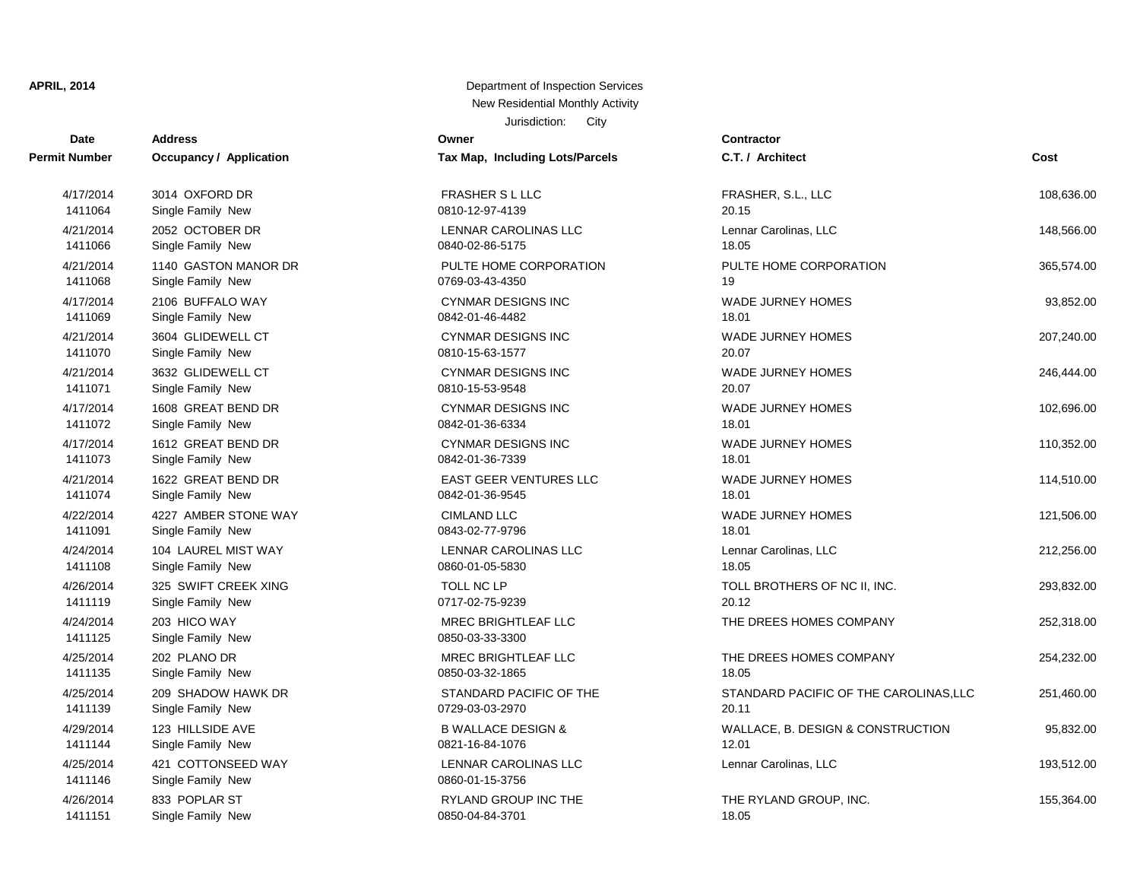| <b>Date</b>          | <b>Address</b>                          | Owner                                   | <b>Contractor</b>                      |            |
|----------------------|-----------------------------------------|-----------------------------------------|----------------------------------------|------------|
| <b>Permit Number</b> | <b>Occupancy / Application</b>          | Tax Map, Including Lots/Parcels         | C.T. / Architect                       | Cost       |
| 4/17/2014            | 3014 OXFORD DR                          | <b>FRASHER S L LLC</b>                  | FRASHER, S.L., LLC                     | 108,636.00 |
| 1411064              | Single Family New                       | 0810-12-97-4139                         | 20.15                                  |            |
| 4/21/2014            | 2052 OCTOBER DR                         | <b>LENNAR CAROLINAS LLC</b>             | Lennar Carolinas, LLC                  | 148,566.00 |
| 1411066              | Single Family New                       | 0840-02-86-5175                         | 18.05                                  |            |
| 4/21/2014            | 1140 GASTON MANOR DR                    | PULTE HOME CORPORATION                  | PULTE HOME CORPORATION                 | 365,574.00 |
| 1411068              | Single Family New                       | 0769-03-43-4350                         | 19                                     |            |
| 4/17/2014            | 2106 BUFFALO WAY                        | <b>CYNMAR DESIGNS INC</b>               | WADE JURNEY HOMES                      | 93,852.00  |
| 1411069              | Single Family New                       | 0842-01-46-4482                         | 18.01                                  |            |
| 4/21/2014            | 3604 GLIDEWELL CT                       | <b>CYNMAR DESIGNS INC</b>               | WADE JURNEY HOMES                      | 207,240.00 |
| 1411070              | Single Family New                       | 0810-15-63-1577                         | 20.07                                  |            |
| 4/21/2014            | 3632 GLIDEWELL CT                       | <b>CYNMAR DESIGNS INC</b>               | WADE JURNEY HOMES                      | 246,444.00 |
| 1411071              | Single Family New                       | 0810-15-53-9548                         | 20.07                                  |            |
| 4/17/2014            | 1608 GREAT BEND DR                      | <b>CYNMAR DESIGNS INC</b>               | <b>WADE JURNEY HOMES</b>               | 102,696.00 |
| 1411072              | Single Family New                       | 0842-01-36-6334                         | 18.01                                  |            |
| 4/17/2014            | 1612 GREAT BEND DR                      | <b>CYNMAR DESIGNS INC</b>               | WADE JURNEY HOMES                      | 110,352.00 |
| 1411073              | Single Family New                       | 0842-01-36-7339                         | 18.01                                  |            |
| 4/21/2014            | 1622 GREAT BEND DR                      | <b>EAST GEER VENTURES LLC</b>           | WADE JURNEY HOMES                      | 114,510.00 |
| 1411074              | Single Family New                       | 0842-01-36-9545                         | 18.01                                  |            |
| 4/22/2014            | 4227 AMBER STONE WAY                    | <b>CIMLAND LLC</b>                      | <b>WADE JURNEY HOMES</b>               | 121,506.00 |
| 1411091              | Single Family New                       | 0843-02-77-9796                         | 18.01                                  |            |
| 4/24/2014            | 104 LAUREL MIST WAY                     | LENNAR CAROLINAS LLC                    | Lennar Carolinas, LLC                  | 212,256.00 |
| 1411108              | Single Family New                       | 0860-01-05-5830                         | 18.05                                  |            |
| 4/26/2014            | 325 SWIFT CREEK XING                    | TOLL NC LP                              | TOLL BROTHERS OF NC II, INC.           | 293,832.00 |
| 1411119              | Single Family New                       | 0717-02-75-9239                         | 20.12                                  |            |
| 4/24/2014<br>1411125 | 203 HICO WAY<br>Single Family New       | MREC BRIGHTLEAF LLC<br>0850-03-33-3300  | THE DREES HOMES COMPANY                | 252,318.00 |
| 4/25/2014            | 202 PLANO DR                            | <b>MREC BRIGHTLEAF LLC</b>              | THE DREES HOMES COMPANY                | 254,232.00 |
| 1411135              | Single Family New                       | 0850-03-32-1865                         | 18.05                                  |            |
| 4/25/2014            | 209 SHADOW HAWK DR                      | STANDARD PACIFIC OF THE                 | STANDARD PACIFIC OF THE CAROLINAS, LLC | 251,460.00 |
| 1411139              | Single Family New                       | 0729-03-03-2970                         | 20.11                                  |            |
| 4/29/2014            | 123 HILLSIDE AVE                        | <b>B WALLACE DESIGN &amp;</b>           | WALLACE, B. DESIGN & CONSTRUCTION      | 95,832.00  |
| 1411144              | Single Family New                       | 0821-16-84-1076                         | 12.01                                  |            |
| 4/25/2014<br>1411146 | 421 COTTONSEED WAY<br>Single Family New | LENNAR CAROLINAS LLC<br>0860-01-15-3756 | Lennar Carolinas, LLC                  | 193,512.00 |
| 4/26/2014            | 833 POPLAR ST                           | <b>RYLAND GROUP INC THE</b>             | THE RYLAND GROUP, INC.                 | 155,364.00 |
| 1411151              | Single Family New                       | 0850-04-84-3701                         | 18.05                                  |            |

| C.T. / Architect                                | Cost       |
|-------------------------------------------------|------------|
| FRASHER, S.L., LLC<br>20.15                     | 108,636.00 |
| Lennar Carolinas, LLC<br>18.05                  | 148,566.00 |
| PULTE HOME CORPORATION<br>19                    | 365,574.00 |
| WADE JURNEY HOMES<br>18.01                      | 93,852.00  |
| WADE JURNEY HOMES<br>20.07                      | 207,240.00 |
| <b>WADE JURNEY HOMES</b><br>20.07               | 246,444.00 |
| <b>WADE JURNEY HOMES</b><br>18.01               | 102,696.00 |
| <b>WADE JURNEY HOMES</b><br>18.01               | 110,352.00 |
| WADE JURNEY HOMES<br>18.01                      | 114,510.00 |
| WADE JURNEY HOMES<br>18.01                      | 121,506.00 |
| Lennar Carolinas, LLC<br>18.05                  | 212,256.00 |
| TOLL BROTHERS OF NC II, INC.<br>20.12           | 293,832.00 |
| THE DREES HOMES COMPANY                         | 252,318.00 |
| THE DREES HOMES COMPANY<br>18.05                | 254,232.00 |
| STANDARD PACIFIC OF THE CAROLINAS, LLC<br>20.11 | 251,460.00 |
| WALLACE, B. DESIGN & CONSTRUCTION<br>12.01      | 95,832.00  |
| Lennar Carolinas, LLC                           | 193,512.00 |
| THE RYLAND GROUP, INC.                          | 155,364.00 |